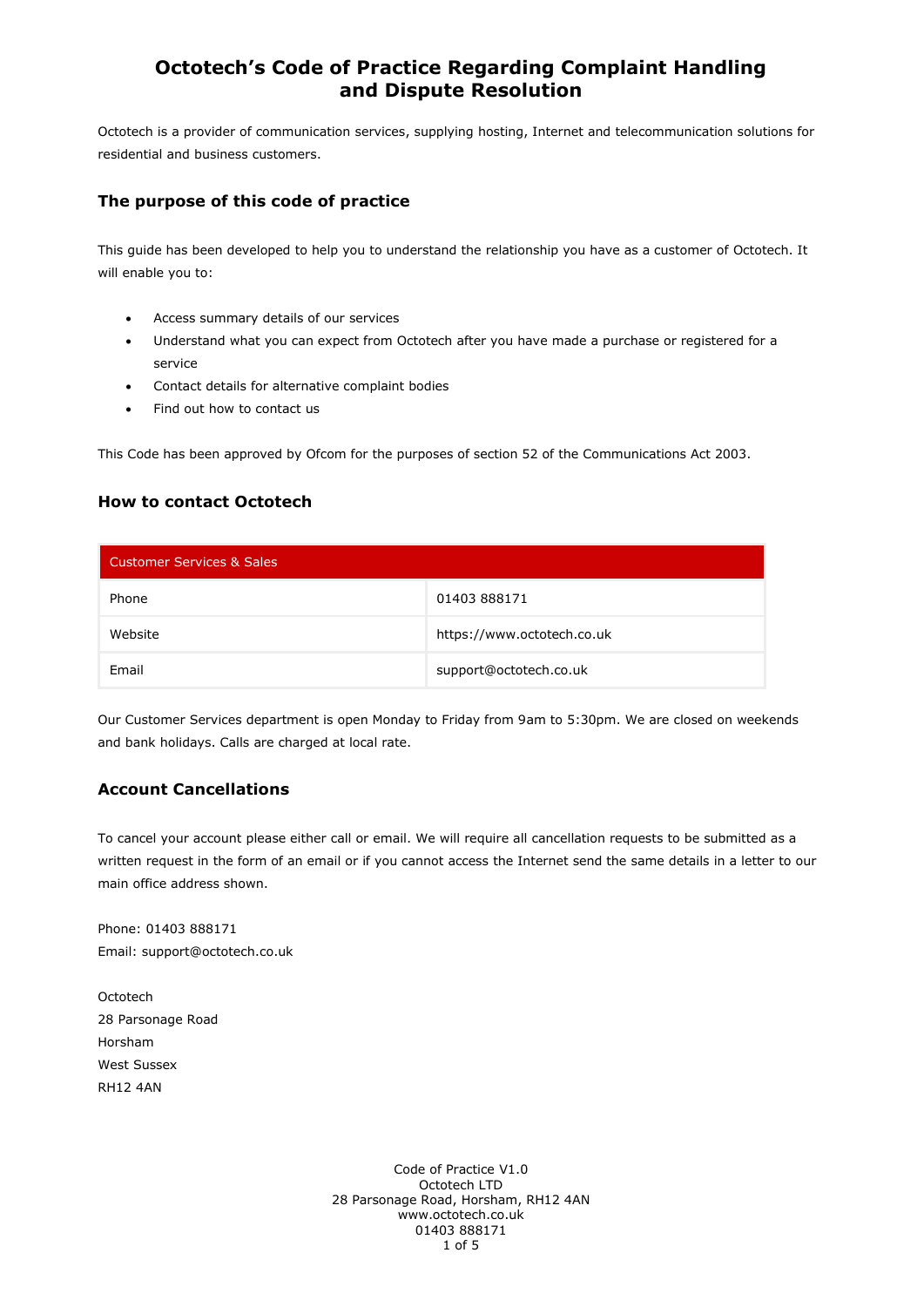# **Octotech's Code of Practice Regarding Complaint Handling and Dispute Resolution**

Octotech is a provider of communication services, supplying hosting, Internet and telecommunication solutions for residential and business customers.

# **The purpose of this code of practice**

This guide has been developed to help you to understand the relationship you have as a customer of Octotech. It will enable you to:

- Access summary details of our services
- Understand what you can expect from Octotech after you have made a purchase or registered for a service
- Contact details for alternative complaint bodies
- Find out how to contact us

This Code has been approved by Ofcom for the purposes of section 52 of the Communications Act 2003.

## **How to contact Octotech**

| <b>Customer Services &amp; Sales</b> |                            |
|--------------------------------------|----------------------------|
| Phone                                | 01403888171                |
| Website                              | https://www.octotech.co.uk |
| Email                                | support@octotech.co.uk     |

Our Customer Services department is open Monday to Friday from 9am to 5:30pm. We are closed on weekends and bank holidays. Calls are charged at local rate.

## **Account Cancellations**

To cancel your account please either call or email. We will require all cancellation requests to be submitted as a written request in the form of an email or if you cannot access the Internet send the same details in a letter to our main office address shown.

Phone: 01403 888171 Email: support@octotech.co.uk

Octotech 28 Parsonage Road Horsham West Sussex RH12 4AN

> Code of Practice V1.0 Octotech LTD 28 Parsonage Road, Horsham, RH12 4AN www.octotech.co.uk 01403 888171 1 of 5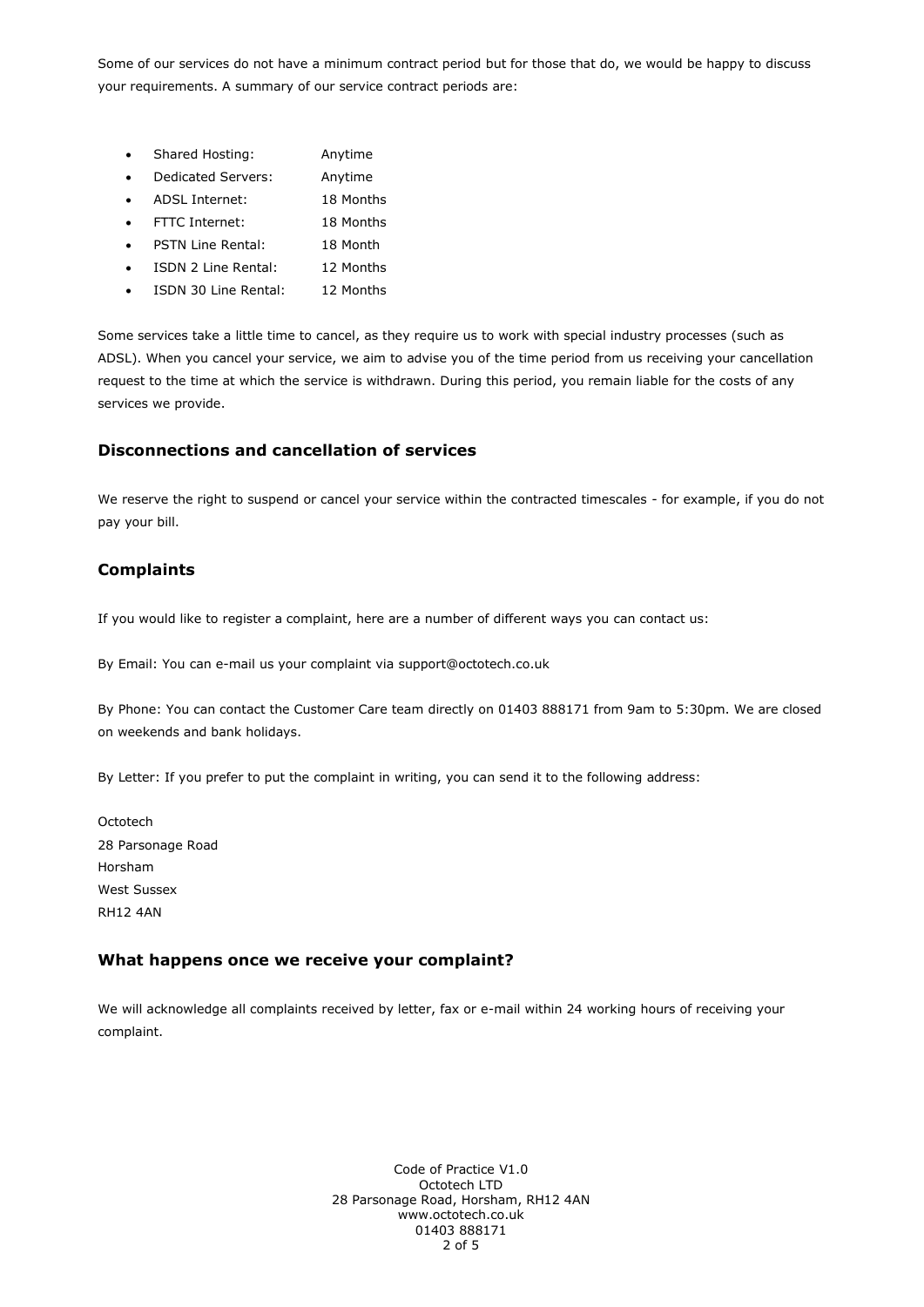Some of our services do not have a minimum contract period but for those that do, we would be happy to discuss your requirements. A summary of our service contract periods are:

- Shared Hosting: Anytime
- Dedicated Servers: Anytime
- ADSL Internet: 18 Months
- FTTC Internet: 18 Months
- PSTN Line Rental: 18 Month
- ISDN 2 Line Rental: 12 Months
- ISDN 30 Line Rental: 12 Months

Some services take a little time to cancel, as they require us to work with special industry processes (such as ADSL). When you cancel your service, we aim to advise you of the time period from us receiving your cancellation request to the time at which the service is withdrawn. During this period, you remain liable for the costs of any services we provide.

### **Disconnections and cancellation of services**

We reserve the right to suspend or cancel your service within the contracted timescales - for example, if you do not pay your bill.

## **Complaints**

If you would like to register a complaint, here are a number of different ways you can contact us:

By Email: You can e-mail us your complaint via support@octotech.co.uk

By Phone: You can contact the Customer Care team directly on 01403 888171 from 9am to 5:30pm. We are closed on weekends and bank holidays.

By Letter: If you prefer to put the complaint in writing, you can send it to the following address:

Octotech 28 Parsonage Road Horsham West Sussex RH12 4AN

#### **What happens once we receive your complaint?**

We will acknowledge all complaints received by letter, fax or e-mail within 24 working hours of receiving your complaint.

> Code of Practice V1.0 Octotech LTD 28 Parsonage Road, Horsham, RH12 4AN www.octotech.co.uk 01403 888171 2 of 5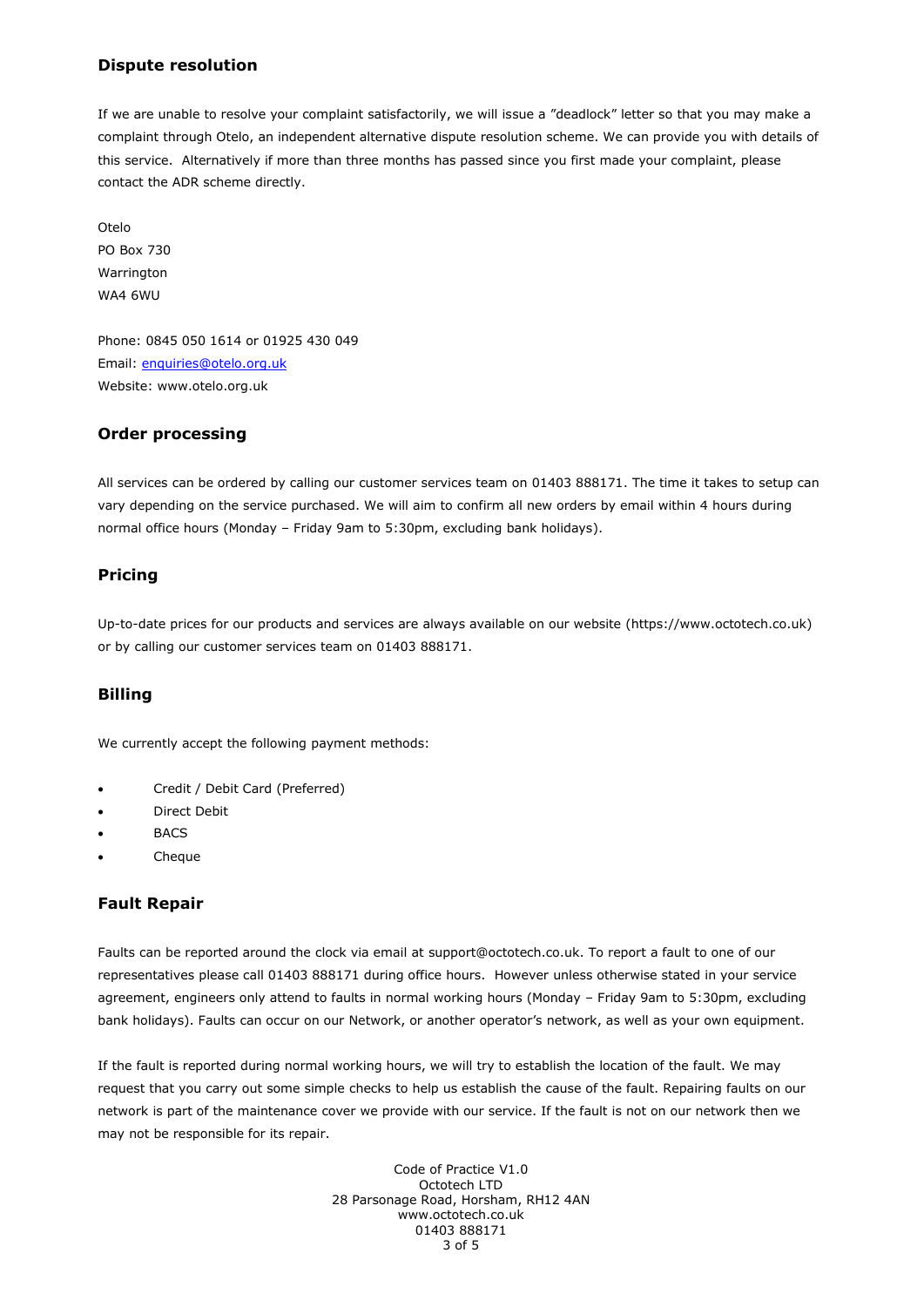### **Dispute resolution**

If we are unable to resolve your complaint satisfactorily, we will issue a "deadlock" letter so that you may make a complaint through Otelo, an independent alternative dispute resolution scheme. We can provide you with details of this service. Alternatively if more than three months has passed since you first made your complaint, please contact the ADR scheme directly.

Otelo PO Box 730 Warrington WA4 6WU

Phone: 0845 050 1614 or 01925 430 049 Email: [enquiries@otelo.org.uk](mailto:enquiries@otelo.org.uk) Website: www.otelo.org.uk

## **Order processing**

All services can be ordered by calling our customer services team on 01403 888171. The time it takes to setup can vary depending on the service purchased. We will aim to confirm all new orders by email within 4 hours during normal office hours (Monday – Friday 9am to 5:30pm, excluding bank holidays).

### **Pricing**

Up-to-date prices for our products and services are always available on our website (https://www.octotech.co.uk) or by calling our customer services team on 01403 888171.

#### **Billing**

We currently accept the following payment methods:

- Credit / Debit Card (Preferred)
- Direct Debit
- **BACS**
- Cheque

## **Fault Repair**

Faults can be reported around the clock via email at support@octotech.co.uk. To report a fault to one of our representatives please call 01403 888171 during office hours. However unless otherwise stated in your service agreement, engineers only attend to faults in normal working hours (Monday – Friday 9am to 5:30pm, excluding bank holidays). Faults can occur on our Network, or another operator's network, as well as your own equipment.

If the fault is reported during normal working hours, we will try to establish the location of the fault. We may request that you carry out some simple checks to help us establish the cause of the fault. Repairing faults on our network is part of the maintenance cover we provide with our service. If the fault is not on our network then we may not be responsible for its repair.

> Code of Practice V1.0 Octotech LTD 28 Parsonage Road, Horsham, RH12 4AN www.octotech.co.uk 01403 888171 3 of 5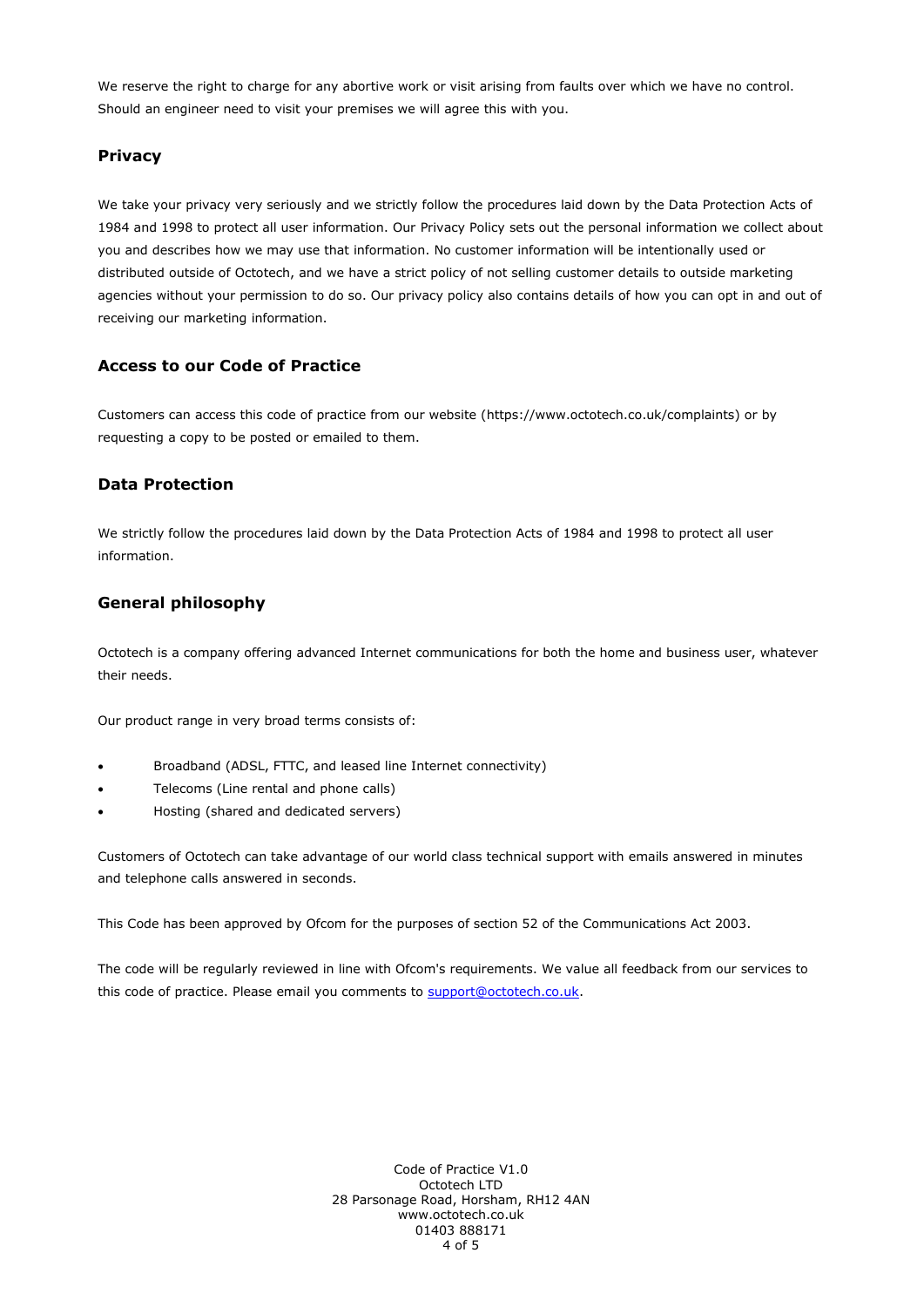We reserve the right to charge for any abortive work or visit arising from faults over which we have no control. Should an engineer need to visit your premises we will agree this with you.

## **Privacy**

We take your privacy very seriously and we strictly follow the procedures laid down by the Data Protection Acts of 1984 and 1998 to protect all user information. Our Privacy Policy sets out the personal information we collect about you and describes how we may use that information. No customer information will be intentionally used or distributed outside of Octotech, and we have a strict policy of not selling customer details to outside marketing agencies without your permission to do so. Our privacy policy also contains details of how you can opt in and out of receiving our marketing information.

## **Access to our Code of Practice**

Customers can access this code of practice from our website (https://www.octotech.co.uk/complaints) or by requesting a copy to be posted or emailed to them.

## **Data Protection**

We strictly follow the procedures laid down by the Data Protection Acts of 1984 and 1998 to protect all user information.

# **General philosophy**

Octotech is a company offering advanced Internet communications for both the home and business user, whatever their needs.

Our product range in very broad terms consists of:

- Broadband (ADSL, FTTC, and leased line Internet connectivity)
- Telecoms (Line rental and phone calls)
- Hosting (shared and dedicated servers)

Customers of Octotech can take advantage of our world class technical support with emails answered in minutes and telephone calls answered in seconds.

This Code has been approved by Ofcom for the purposes of section 52 of the Communications Act 2003.

The code will be regularly reviewed in line with Ofcom's requirements. We value all feedback from our services to this code of practice. Please email you comments to [support@octotech.co.uk.](mailto:support@octotech.co.uk)

> Code of Practice V1.0 Octotech LTD 28 Parsonage Road, Horsham, RH12 4AN www.octotech.co.uk 01403 888171 4 of 5